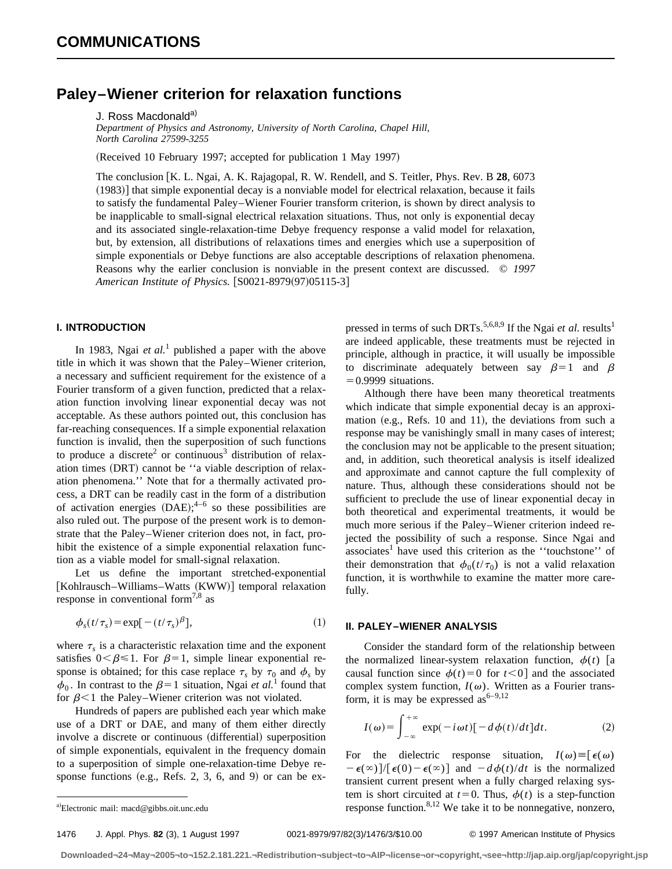## **Paley–Wiener criterion for relaxation functions**

*Department of Physics and Astronomy, University of North Carolina, Chapel Hill, North Carolina 27599-3255*

(Received 10 February 1997; accepted for publication 1 May 1997)

The conclusion [K. L. Ngai, A. K. Rajagopal, R. W. Rendell, and S. Teitler, Phys. Rev. B 28, 6073  $(1983)$ ] that simple exponential decay is a nonviable model for electrical relaxation, because it fails to satisfy the fundamental Paley–Wiener Fourier transform criterion, is shown by direct analysis to be inapplicable to small-signal electrical relaxation situations. Thus, not only is exponential decay and its associated single-relaxation-time Debye frequency response a valid model for relaxation, but, by extension, all distributions of relaxations times and energies which use a superposition of simple exponentials or Debye functions are also acceptable descriptions of relaxation phenomena. Reasons why the earlier conclusion is nonviable in the present context are discussed. © *1997 American Institute of Physics.* [S0021-8979(97)05115-3]

## **I. INTRODUCTION**

In 1983, Ngai *et al.*<sup>1</sup> published a paper with the above title in which it was shown that the Paley–Wiener criterion, a necessary and sufficient requirement for the existence of a Fourier transform of a given function, predicted that a relaxation function involving linear exponential decay was not acceptable. As these authors pointed out, this conclusion has far-reaching consequences. If a simple exponential relaxation function is invalid, then the superposition of such functions to produce a discrete<sup>2</sup> or continuous<sup>3</sup> distribution of relaxation times (DRT) cannot be "a viable description of relaxation phenomena.'' Note that for a thermally activated process, a DRT can be readily cast in the form of a distribution of activation energies  $(DAE);^{4-6}$  so these possibilities are also ruled out. The purpose of the present work is to demonstrate that the Paley–Wiener criterion does not, in fact, prohibit the existence of a simple exponential relaxation function as a viable model for small-signal relaxation.

Let us define the important stretched-exponential [Kohlrausch–Williams–Watts (KWW)] temporal relaxation response in conventional form<sup>7,8</sup> as

$$
\phi_s(t/\tau_s) = \exp[-(t/\tau_s)^{\beta}], \tag{1}
$$

where  $\tau_s$  is a characteristic relaxation time and the exponent satisfies  $0<\beta\leq 1$ . For  $\beta=1$ , simple linear exponential response is obtained; for this case replace  $\tau_s$  by  $\tau_0$  and  $\phi_s$  by  $\phi_0$ . In contrast to the  $\beta=1$  situation, Ngai *et al.*<sup>1</sup> found that for  $\beta$ <1 the Paley–Wiener criterion was not violated.

Hundreds of papers are published each year which make use of a DRT or DAE, and many of them either directly involve a discrete or continuous (differential) superposition of simple exponentials, equivalent in the frequency domain to a superposition of simple one-relaxation-time Debye response functions (e.g., Refs. 2, 3, 6, and 9) or can be expressed in terms of such DRTs.<sup>5,6,8,9</sup> If the Ngai *et al.* results<sup>1</sup> are indeed applicable, these treatments must be rejected in principle, although in practice, it will usually be impossible to discriminate adequately between say  $\beta=1$  and  $\beta$  $=0.9999$  situations.

Although there have been many theoretical treatments which indicate that simple exponential decay is an approximation  $(e.g., Refs. 10 and 11)$ , the deviations from such a response may be vanishingly small in many cases of interest; the conclusion may not be applicable to the present situation; and, in addition, such theoretical analysis is itself idealized and approximate and cannot capture the full complexity of nature. Thus, although these considerations should not be sufficient to preclude the use of linear exponential decay in both theoretical and experimental treatments, it would be much more serious if the Paley–Wiener criterion indeed rejected the possibility of such a response. Since Ngai and associates<sup>1</sup> have used this criterion as the "touchstone" of their demonstration that  $\phi_0(t/\tau_0)$  is not a valid relaxation function, it is worthwhile to examine the matter more carefully.

## **II. PALEY–WIENER ANALYSIS**

Consider the standard form of the relationship between the normalized linear-system relaxation function,  $\phi(t)$  a causal function since  $\phi(t)=0$  for  $t<0$  and the associated complex system function,  $I(\omega)$ . Written as a Fourier transform, it is may be expressed as  $6-9,12$ 

$$
I(\omega) = \int_{-\infty}^{+\infty} \exp(-i\omega t) [-d\phi(t)/dt] dt.
$$
 (2)

For the dielectric response situation,  $I(\omega) \equiv [\epsilon(\omega)]$  $-\epsilon(\infty)/[\epsilon(0)-\epsilon(\infty)]$  and  $-d\phi(t)/dt$  is the normalized transient current present when a fully charged relaxing system is short circuited at  $t=0$ . Thus,  $\phi(t)$  is a step-function response function. $8,12$  We take it to be nonnegative, nonzero,

1476 J. Appl. Phys. **82** (3), 1 August 1997 0021-8979/97/82(3)/1476/3/\$10.00 © 1997 American Institute of Physics

J. Ross Macdonald<sup>a)</sup>

a)Electronic mail: macd@gibbs.oit.unc.edu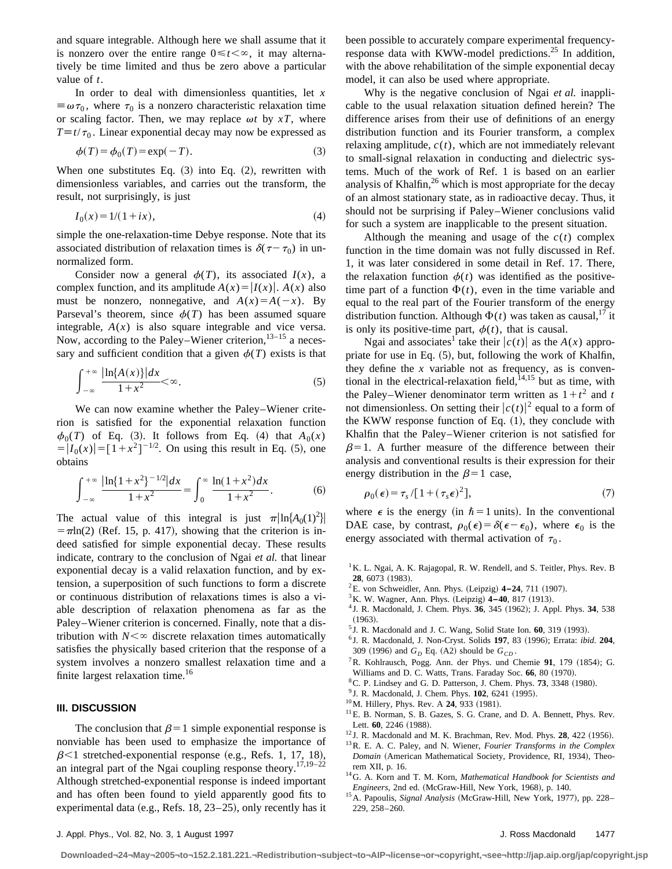and square integrable. Although here we shall assume that it is nonzero over the entire range  $0 \le t < \infty$ , it may alternatively be time limited and thus be zero above a particular value of *t*.

In order to deal with dimensionless quantities, let *x*  $\equiv \omega \tau_0$ , where  $\tau_0$  is a nonzero characteristic relaxation time or scaling factor. Then, we may replace  $\omega t$  by  $xT$ , where  $T \equiv t/\tau_0$ . Linear exponential decay may now be expressed as

$$
\phi(T) = \phi_0(T) = \exp(-T). \tag{3}
$$

When one substitutes Eq.  $(3)$  into Eq.  $(2)$ , rewritten with dimensionless variables, and carries out the transform, the result, not surprisingly, is just

$$
I_0(x) = 1/(1 + ix),\tag{4}
$$

simple the one-relaxation-time Debye response. Note that its associated distribution of relaxation times is  $\delta(\tau - \tau_0)$  in unnormalized form.

Consider now a general  $\phi(T)$ , its associated  $I(x)$ , a complex function, and its amplitude  $A(x) = |I(x)|$ .  $A(x)$  also must be nonzero, nonnegative, and  $A(x)=A(-x)$ . By Parseval's theorem, since  $\phi(T)$  has been assumed square integrable,  $A(x)$  is also square integrable and vice versa. Now, according to the Paley–Wiener criterion,  $13-15$  a necessary and sufficient condition that a given  $\phi(T)$  exists is that

$$
\int_{-\infty}^{+\infty} \frac{|\ln\{A(x)\}| dx}{1+x^2} < \infty.
$$
 (5)

We can now examine whether the Paley–Wiener criterion is satisfied for the exponential relaxation function  $\phi_0(T)$  of Eq. (3). It follows from Eq. (4) that  $A_0(x)$  $= |I_0(x)| = [1 + x^2]^{-1/2}$ . On using this result in Eq. (5), one obtains

$$
\int_{-\infty}^{+\infty} \frac{|\ln\{1+x^2\}^{-1/2}|dx}{1+x^2} = \int_0^{\infty} \frac{\ln(1+x^2)dx}{1+x^2}.
$$
 (6)

The actual value of this integral is just  $\pi \left| \ln \{ A_0(1)^2 \} \right|$  $=$   $\pi$ ln(2) (Ref. 15, p. 417), showing that the criterion is indeed satisfied for simple exponential decay. These results indicate, contrary to the conclusion of Ngai *et al.* that linear exponential decay is a valid relaxation function, and by extension, a superposition of such functions to form a discrete or continuous distribution of relaxations times is also a viable description of relaxation phenomena as far as the Paley–Wiener criterion is concerned. Finally, note that a distribution with  $N<\infty$  discrete relaxation times automatically satisfies the physically based criterion that the response of a system involves a nonzero smallest relaxation time and a finite largest relaxation time.<sup>16</sup>

## **III. DISCUSSION**

The conclusion that  $\beta=1$  simple exponential response is nonviable has been used to emphasize the importance of  $\beta$ <1 stretched-exponential response (e.g., Refs. 1, 17, 18), an integral part of the Ngai coupling response theory.<sup>17,19–22</sup> Although stretched-exponential response is indeed important and has often been found to yield apparently good fits to experimental data (e.g., Refs. 18,  $23-25$ ), only recently has it been possible to accurately compare experimental frequencyresponse data with KWW-model predictions.<sup>25</sup> In addition, with the above rehabilitation of the simple exponential decay model, it can also be used where appropriate.

Why is the negative conclusion of Ngai *et al.* inapplicable to the usual relaxation situation defined herein? The difference arises from their use of definitions of an energy distribution function and its Fourier transform, a complex relaxing amplitude,  $c(t)$ , which are not immediately relevant to small-signal relaxation in conducting and dielectric systems. Much of the work of Ref. 1 is based on an earlier analysis of Khalfin, $26$  which is most appropriate for the decay of an almost stationary state, as in radioactive decay. Thus, it should not be surprising if Paley–Wiener conclusions valid for such a system are inapplicable to the present situation.

Although the meaning and usage of the  $c(t)$  complex function in the time domain was not fully discussed in Ref. 1, it was later considered in some detail in Ref. 17. There, the relaxation function  $\phi(t)$  was identified as the positivetime part of a function  $\Phi(t)$ , even in the time variable and equal to the real part of the Fourier transform of the energy distribution function. Although  $\Phi(t)$  was taken as causal,  $\frac{1}{1}$  it is only its positive-time part,  $\phi(t)$ , that is causal.

Ngai and associates<sup>1</sup> take their  $|c(t)|$  as the  $A(x)$  appropriate for use in Eq.  $(5)$ , but, following the work of Khalfin, they define the  $x$  variable not as frequency, as is conventional in the electrical-relaxation field, $14,15$  but as time, with the Paley–Wiener denominator term written as  $1 + t^2$  and *t* not dimensionless. On setting their  $|c(t)|^2$  equal to a form of the KWW response function of Eq.  $(1)$ , they conclude with Khalfin that the Paley–Wiener criterion is not satisfied for  $\beta=1$ . A further measure of the difference between their analysis and conventional results is their expression for their energy distribution in the  $\beta=1$  case,

$$
\rho_0(\epsilon) = \tau_s / [1 + (\tau_s \epsilon)^2],\tag{7}
$$

where  $\epsilon$  is the energy (in  $\hbar = 1$  units). In the conventional DAE case, by contrast,  $\rho_0(\epsilon) = \delta(\epsilon - \epsilon_0)$ , where  $\epsilon_0$  is the energy associated with thermal activation of  $\tau_0$ .

- <sup>1</sup>K. L. Ngai, A. K. Rajagopal, R. W. Rendell, and S. Teitler, Phys. Rev. B **28**, 6073 (1983).
- <sup>2</sup>E. von Schweidler, Ann. Phys. (Leipzig) 4-24, 711 (1907).
- <sup>3</sup> K. W. Wagner, Ann. Phys. (Leipzig)  $4-40$ , 817 (1913).
- <sup>4</sup> J. R. Macdonald, J. Chem. Phys. **36**, 345 (1962); J. Appl. Phys. **34**, 538  $(1963).$
- $5$  J. R. Macdonald and J. C. Wang, Solid State Ion.  $60$ ,  $319$   $(1993)$ .
- <sup>6</sup> J. R. Macdonald, J. Non-Cryst. Solids **197**, 83 ~1996!; Errata: *ibid*. **204**, 309 (1996) and  $G_D$  Eq. (A2) should be  $G_{CD}$ .
- <sup>7</sup>R. Kohlrausch, Pogg. Ann. der Phys. und Chemie 91, 179 (1854); G. Williams and D. C. Watts, Trans. Faraday Soc. 66, 80 (1970).
- ${}^8$ C. P. Lindsey and G. D. Patterson, J. Chem. Phys. **73**, 3348  $(1980)$ .
- <sup>9</sup> J. R. Macdonald, J. Chem. Phys. **102**, 6241 (1995).
- <sup>10</sup>M. Hillery, Phys. Rev. A **24**, 933 (1981).
- <sup>11</sup> E. B. Norman, S. B. Gazes, S. G. Crane, and D. A. Bennett, Phys. Rev. Lett. 60, 2246 (1988).
- $12$  J. R. Macdonald and M. K. Brachman, Rev. Mod. Phys.  $28$ ,  $422$  (1956).
- 13R. E. A. C. Paley, and N. Wiener, *Fourier Transforms in the Complex Domain* (American Mathematical Society, Providence, RI, 1934), Theorem XII, p. 16.
- 14G. A. Korn and T. M. Korn, *Mathematical Handbook for Scientists and Engineers*, 2nd ed. (McGraw-Hill, New York, 1968), p. 140.
- <sup>15</sup> A. Papoulis, *Signal Analysis* (McGraw-Hill, New York, 1977), pp. 228– 229, 258–260.

**Downloaded¬24¬May¬2005¬to¬152.2.181.221.¬Redistribution¬subject¬to¬AIP¬license¬or¬copyright,¬see¬http://jap.aip.org/jap/copyright.jsp**